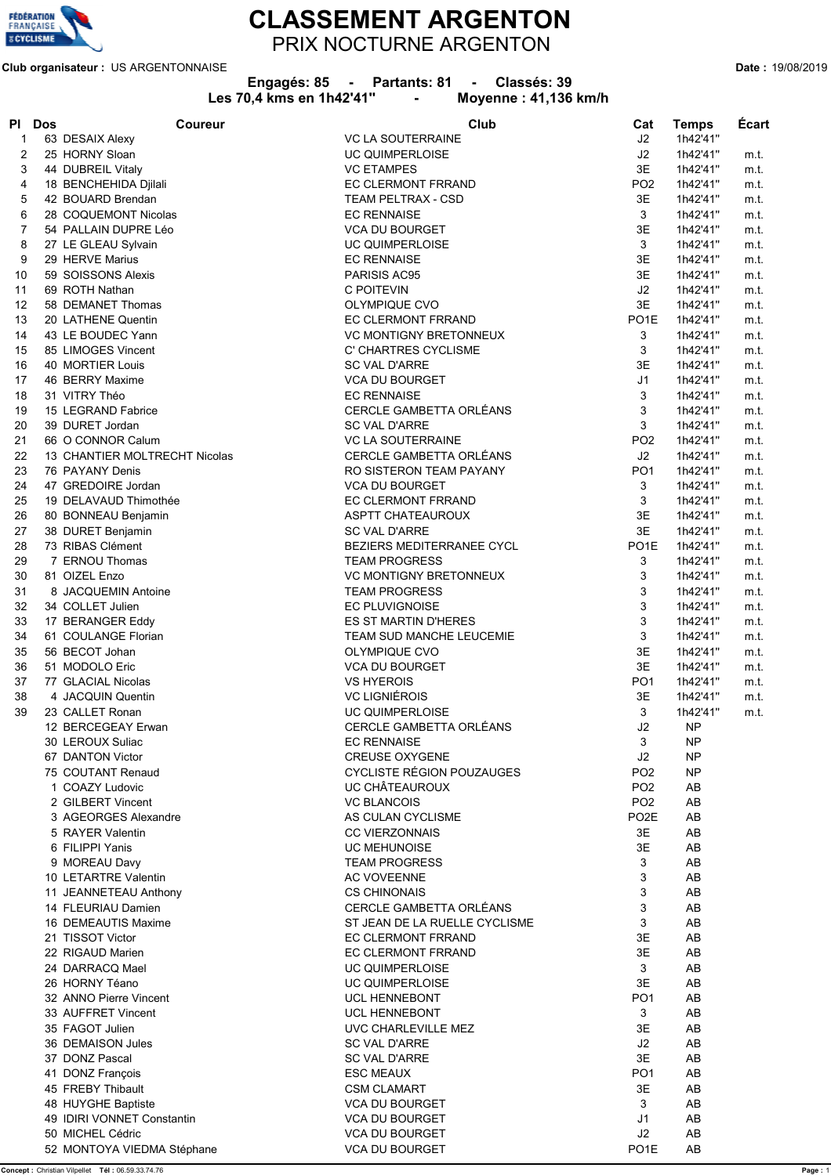

## **CLASSEMENT ARGENTON** PRIX NOCTURNE ARGENTON

**Club organisateur :** US ARGENTONNAISE **Date :** 19/08/2019

| Engagés: 85 |  | Partants: 81 |  | Classés: 39 |
|-------------|--|--------------|--|-------------|
|-------------|--|--------------|--|-------------|

|          |            |                                          | Les 70,4 kms en 1h42'41"<br>Moyenne: 41,136 km/h<br>$\blacksquare$ |                     |                      |              |
|----------|------------|------------------------------------------|--------------------------------------------------------------------|---------------------|----------------------|--------------|
| PI       | <b>Dos</b> | Coureur                                  | Club                                                               | Cat                 | <b>Temps</b>         | Ecart        |
| 1        |            | 63 DESAIX Alexy                          | <b>VC LA SOUTERRAINE</b>                                           | J2                  | 1h42'41"             |              |
| 2        |            | 25 HORNY Sloan                           | <b>UC QUIMPERLOISE</b>                                             | J2                  | 1h42'41"             | m.t.         |
| 3        |            | 44 DUBREIL Vitaly                        | <b>VC ETAMPES</b>                                                  | 3E                  | 1h42'41"             | m.t.         |
| 4        |            | 18 BENCHEHIDA Djilali                    | EC CLERMONT FRRAND                                                 | PO <sub>2</sub>     | 1h42'41"             | m.t.         |
| 5        |            | 42 BOUARD Brendan                        | TEAM PELTRAX - CSD                                                 | 3E                  | 1h42'41"             | m.t.         |
| 6        |            | 28 COQUEMONT Nicolas                     | <b>EC RENNAISE</b>                                                 | 3                   | 1h42'41"             | m.t.         |
| 7        |            | 54 PALLAIN DUPRE Léo                     | <b>VCA DU BOURGET</b>                                              | 3E<br>3             | 1h42'41"             | m.t.         |
| 8<br>9   |            | 27 LE GLEAU Sylvain<br>29 HERVE Marius   | <b>UC QUIMPERLOISE</b><br><b>EC RENNAISE</b>                       | 3E                  | 1h42'41"<br>1h42'41" | m.t.<br>m.t. |
| 10       |            | 59 SOISSONS Alexis                       | PARISIS AC95                                                       | 3E                  | 1h42'41"             | m.t.         |
| 11       |            | 69 ROTH Nathan                           | C POITEVIN                                                         | J2                  | 1h42'41"             | m.t.         |
| 12       |            | 58 DEMANET Thomas                        | OLYMPIQUE CVO                                                      | 3E                  | 1h42'41"             | m.t.         |
| 13       |            | 20 LATHENE Quentin                       | EC CLERMONT FRRAND                                                 | PO <sub>1</sub> E   | 1h42'41"             | m.t.         |
| 14       |            | 43 LE BOUDEC Yann                        | <b>VC MONTIGNY BRETONNEUX</b>                                      | 3                   | 1h42'41"             | m.t.         |
| 15       |            | 85 LIMOGES Vincent                       | C' CHARTRES CYCLISME                                               | 3                   | 1h42'41"             | m.t.         |
| 16       |            | 40 MORTIER Louis                         | <b>SC VAL D'ARRE</b>                                               | 3E                  | 1h42'41"             | m.t.         |
| 17       |            | 46 BERRY Maxime                          | <b>VCA DU BOURGET</b>                                              | J <sub>1</sub>      | 1h42'41"             | m.t.         |
| 18       |            | 31 VITRY Théo                            | <b>EC RENNAISE</b>                                                 | 3                   | 1h42'41"             | m.t.         |
| 19       |            | 15 LEGRAND Fabrice                       | CERCLE GAMBETTA ORLEANS                                            | 3                   | 1h42'41"             | m.t.         |
| 20       |            | 39 DURET Jordan                          | <b>SC VAL D'ARRE</b>                                               | 3                   | 1h42'41"             | m.t.         |
| 21       |            | 66 O CONNOR Calum                        | <b>VC LA SOUTERRAINE</b>                                           | PO <sub>2</sub>     | 1h42'41"             | m.t.         |
| 22       |            | 13 CHANTIER MOLTRECHT Nicolas            | CERCLE GAMBETTA ORLÉANS                                            | J2                  | 1h42'41"             | m.t.         |
| 23       |            | 76 PAYANY Denis                          | RO SISTERON TEAM PAYANY                                            | PO <sub>1</sub>     | 1h42'41"             | m.t.         |
| 24       |            | 47 GREDOIRE Jordan                       | <b>VCA DU BOURGET</b>                                              | 3                   | 1h42'41"             | m.t.         |
| 25<br>26 |            | 19 DELAVAUD Thimothée                    | EC CLERMONT FRRAND<br><b>ASPTT CHATEAUROUX</b>                     | 3<br>3E             | 1h42'41"<br>1h42'41" | m.t.<br>m.t. |
| 27       |            | 80 BONNEAU Benjamin<br>38 DURET Benjamin | <b>SC VAL D'ARRE</b>                                               | 3E                  | 1h42'41"             | m.t.         |
| 28       |            | 73 RIBAS Clément                         | BEZIERS MEDITERRANEE CYCL                                          | PO <sub>1</sub> E   | 1h42'41"             | m.t.         |
| 29       |            | 7 ERNOU Thomas                           | <b>TEAM PROGRESS</b>                                               | 3                   | 1h42'41"             | m.t.         |
| 30       |            | 81 OIZEL Enzo                            | VC MONTIGNY BRETONNEUX                                             | 3                   | 1h42'41"             | m.t.         |
| 31       |            | 8 JACQUEMIN Antoine                      | <b>TEAM PROGRESS</b>                                               | 3                   | 1h42'41"             | m.t.         |
| 32       |            | 34 COLLET Julien                         | <b>EC PLUVIGNOISE</b>                                              | 3                   | 1h42'41"             | m.t.         |
| 33       |            | 17 BERANGER Eddy                         | ES ST MARTIN D'HERES                                               | 3                   | 1h42'41"             | m.t.         |
| 34       |            | 61 COULANGE Florian                      | TEAM SUD MANCHE LEUCEMIE                                           | 3                   | 1h42'41"             | m.t.         |
| 35       |            | 56 BECOT Johan                           | <b>OLYMPIQUE CVO</b>                                               | 3E                  | 1h42'41"             | m.t.         |
| 36       |            | 51 MODOLO Eric                           | VCA DU BOURGET                                                     | 3Е                  | 1h42'41"             | m.t.         |
| 37       |            | 77 GLACIAL Nicolas                       | <b>VS HYEROIS</b>                                                  | PO <sub>1</sub>     | 1h42'41"             | m.t.         |
| 38       |            | 4 JACQUIN Quentin                        | <b>VC LIGNIÉROIS</b>                                               | 3E                  | 1h42'41"             | m.t.         |
| 39       |            | 23 CALLET Ronan                          | UC QUIMPERLOISE                                                    | 3                   | 1h42'41"             | m.t.         |
|          |            | 12 BERCEGEAY Erwan<br>30 LEROUX Suliac   | CERCLE GAMBETTA ORLÉANS<br><b>EC RENNAISE</b>                      | J <sub>2</sub><br>3 | NΡ<br><b>NP</b>      |              |
|          |            | 67 DANTON Victor                         | <b>CREUSE OXYGENE</b>                                              | J2                  | NP                   |              |
|          |            | 75 COUTANT Renaud                        | CYCLISTE RÉGION POUZAUGES                                          | PO <sub>2</sub>     | <b>NP</b>            |              |
|          |            | 1 COAZY Ludovic                          | UC CHÂTEAUROUX                                                     | PO <sub>2</sub>     | AB                   |              |
|          |            | 2 GILBERT Vincent                        | <b>VC BLANCOIS</b>                                                 | PO <sub>2</sub>     | AB                   |              |
|          |            | 3 AGEORGES Alexandre                     | AS CULAN CYCLISME                                                  | PO <sub>2</sub> E   | AB                   |              |
|          |            | 5 RAYER Valentin                         | <b>CC VIERZONNAIS</b>                                              | 3E                  | AB                   |              |
|          |            | 6 FILIPPI Yanis                          | <b>UC MEHUNOISE</b>                                                | 3E                  | AB                   |              |
|          |            | 9 MOREAU Davy                            | <b>TEAM PROGRESS</b>                                               | 3                   | AB                   |              |
|          |            | 10 LETARTRE Valentin                     | <b>AC VOVEENNE</b>                                                 | 3                   | AB                   |              |
|          |            | 11 JEANNETEAU Anthony                    | <b>CS CHINONAIS</b>                                                | 3                   | AB                   |              |
|          |            | 14 FLEURIAU Damien                       | CERCLE GAMBETTA ORLÉANS                                            | 3                   | AB                   |              |
|          |            | 16 DEMEAUTIS Maxime                      | ST JEAN DE LA RUELLE CYCLISME                                      | 3                   | AB                   |              |
|          |            | 21 TISSOT Victor                         | EC CLERMONT FRRAND                                                 | 3E                  | AB                   |              |
|          |            | 22 RIGAUD Marien<br>24 DARRACQ Mael      | EC CLERMONT FRRAND<br><b>UC QUIMPERLOISE</b>                       | 3E<br>3             | AB<br>AB             |              |
|          |            | 26 HORNY Téano                           | <b>UC QUIMPERLOISE</b>                                             | 3E                  | AB                   |              |
|          |            | 32 ANNO Pierre Vincent                   | UCL HENNEBONT                                                      | PO <sub>1</sub>     | AB                   |              |
|          |            | 33 AUFFRET Vincent                       | <b>UCL HENNEBONT</b>                                               | 3                   | AB                   |              |
|          |            | 35 FAGOT Julien                          | UVC CHARLEVILLE MEZ                                                | 3E                  | AB                   |              |
|          |            | 36 DEMAISON Jules                        | <b>SC VAL D'ARRE</b>                                               | J2                  | AB                   |              |
|          |            | 37 DONZ Pascal                           | <b>SC VAL D'ARRE</b>                                               | 3E                  | AB                   |              |
|          |            | 41 DONZ François                         | <b>ESC MEAUX</b>                                                   | PO <sub>1</sub>     | AB                   |              |
|          |            | 45 FREBY Thibault                        | <b>CSM CLAMART</b>                                                 | 3E                  | AB                   |              |
|          |            | 48 HUYGHE Baptiste                       | <b>VCA DU BOURGET</b>                                              | 3                   | AB                   |              |
|          |            | 49 IDIRI VONNET Constantin               | VCA DU BOURGET                                                     | J1                  | AB                   |              |

50 MICHEL Cédric VCA DU BOURGET J2 AB

52 MONTOYA VIEDMA Stéphane